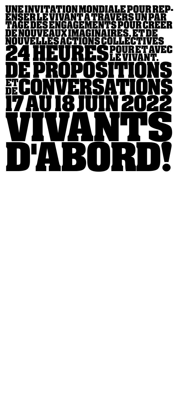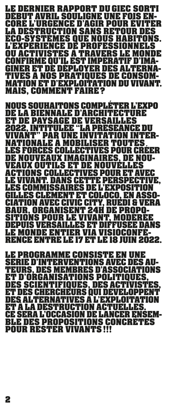**LE DERNIER RAPPORT DU GIEC SORTI DÉBUT AVRIL SOULIGNE UNE FOIS EN-CORE L'URGENCE D'AGIR POUR ÉVITER ECO-SYSTÈMES QUE NOUS HABITONS.<br>L'EXPÉRIENCE DE PROFESSIONNELS<br>QU ACTIVISTES À TRAVERS LE MONDE<br>CONFIRME QU'IL EST IMPÉRATIF D'IMA-GINER ET DE DÉPLOYER DES ALTERNA-TIVES À NOS PRATIQUES DE CONSOM-MATION ET D'EXPLOITATION DU VIVANT. MAIS, COMMENT FAIRE?** 

**NOUS SOUHAITONS COMPLÉTER L'EXPO** ET DE PAYSAGE DE VERSAILLES<br>2022, INTITULÉE "LA PRÉSÉANCE DU<br>VIVANT" PAR UNE INVITATION INTER-<br>NATIONALE A MOBILISER TOUTES **LES FORCES COLLECTIVES POUR CRÉER<br>DE NOUVEAUX IMAGINAIRES, DE NOU-<br>VEAUX OUTILS ET DE NOUVELLES<br>ACTIONS COLLECTIVES POUR ET AVEC<br>LE VIVANT. DANS CETTE PERSPECTIVE,<br>LES COMMISSAIRES DE L'EXPOSITION<br>GILLES CLÉMENT ET COLOCO CIATION AVEC CIVIC CITY, RUEDI & VERA BAUR, ORGANISENT 24H DE PROPO-DEPUIS VERSAILLES ET DIFFUSÉE DANS<br>LE MONDE ENTIER VIA VISIOCONFÉ-RENCE ENTRE LE 17 ET LE 18 JUIN 2022.** 

**LE PROGRAMME CONSISTE EN UNE SÉRIE D'INTERVENTIONS AVEC DES AU- ET D'ORGANISATIONS POLITIQUES,<br>DES SCIENTIFIQUES, DES ACTIVISTES, ET DES CHERCHEURS QUI DÉVELOPPENT DES ALTERNATIVES À L'EXPLOITATION ET À LA DESTRUCTION ACTUELLES. CE SERA L'OCCASION DE LANCER ENSEM-BLE DES PROPOSITIONS CONCRÈTES PUIL BECTER VIIVANTS!!!**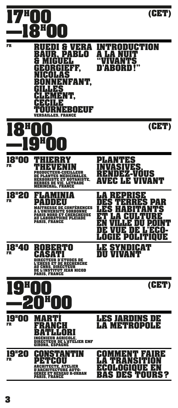## **17H 00 (CET) —18H 00**



| <b>FR</b>                       | 月<br>÷<br>A<br>31 FL 1<br>R<br>PAI<br>別<br>H<br>U<br>FF.<br>H<br>눼<br>AS<br>$\mathbf{\mathbf{\mathsf{I}}}$<br>H<br>NFANT,<br>게<br>Н<br>ES<br>NT,<br>티터미터미터<br><b>VERSAILLES, FRANCE</b> | LI STUDN<br>$\mathbf I$<br>$\begin{array}{c} \hline \end{array}$<br>l'S<br>,,<br>9303                                                                                                                                       |
|---------------------------------|-----------------------------------------------------------------------------------------------------------------------------------------------------------------------------------------|-----------------------------------------------------------------------------------------------------------------------------------------------------------------------------------------------------------------------------|
| $\Box$                          | $\frac{1}{1}$<br>0                                                                                                                                                                      | (CET)                                                                                                                                                                                                                       |
| <b>18"00</b><br><b>FR</b>       | 뉘<br>÷<br>ľ<br>STE.<br>E ET BOTA<br>RBES DE VIE. LETRADE<br><b>MÉRINCHAL, FRANCE</b>                                                                                                    | ES<br>Η<br>A<br>ES<br>EZ-VOUS<br>늰<br>$\begin{matrix} \end{matrix}$<br>NT<br>6 X<br>Ħ<br>H<br>AN<br>V,                                                                                                                      |
| <b>18"20</b><br><b>FR</b>       | 비<br><b>MAÎTRESSE DE CONFÉRENCES<br/>A L'UNIVERSITE SORBONNE<br/>PARIS NORD ET CHERCHEUSE<br/>AU LABORATOIRE PLÉIADE<br/>PARIS, FRANCE</b>                                              | 片<br>E<br>AN<br>P<br>$\pmb{\mathsf{b}}$<br>E<br>E<br>R<br>1, ا<br>U<br>Ŧ<br>H<br>$\overline{\mathbf{I}}$<br>E<br>Ļ<br>H<br>$\mathbf l$<br>Þ<br>E<br>H<br>U U<br>$\mathbf{l}$<br>Σ<br>$\mathbf{I}$<br>$\mathsf{L}$<br>Ш<br>Ы |
| 18 <sup>H</sup> 40<br><b>FR</b> | RTO<br>R<br>Н<br>눠<br>$\mathbf{I}$<br>DIRECTEUR D'ÉTUDES DE<br>L'EHESS ET DE RECHERCHE<br><b>AU CNRS, DIRECTEUR</b><br><b>DE L'INSTITUT JEAN NICOD<br/>PARIS, FRANCE</b>                | DIGAT<br>ŊΧ<br>N<br>VA)<br>VТ<br>$\mathbf{I}$                                                                                                                                                                               |
|                                 |                                                                                                                                                                                         | (CET)                                                                                                                                                                                                                       |
| <b>19ª00</b><br><b>FR</b>       | ÷<br>÷<br>$\frac{1}{2}$<br>۱<br>В<br>$\mathbf l$<br>$\frac{1}{\pi}$<br>INGÉNIEUR AGRICOLE,<br>DIRECTEUR DE L'ATELIER EMF<br>GIRONA, ESPAGNE                                             | LES JARDINS I<br>D) F<br><b>LA METROPOLE</b>                                                                                                                                                                                |
| <b>19"20</b><br><b>FR</b>       | Đ<br>61<br>U<br><u>ARCHITECTE, ATELIER</u><br><b>D'ARCHITECTURE AUTO-</b><br>GÉRÉE ET RÉSEAU R-URBAN<br>PARIS, FRANCE                                                                   | RI X<br>눠<br>FAI<br>$\mathbf I$<br>H<br>$\mathbf{I}$<br>$\frac{1}{\pi}$<br>EN<br>Σ<br>F(1 t 1 1)<br>ĦН<br>$\blacksquare$<br>BAS DES TOURS?                                                                                  |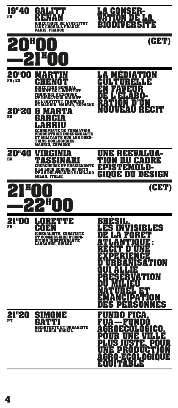| 19"40<br><b>FR</b>                    | $\boldsymbol{\mathsf{H}}$<br>$\overline{1}$<br>CE DE L'INSTITUT<br><b>NE GOODALL FRANCE</b><br><b>PARIS, FRANCE</b>                                                                                                                                                                                       | LA GONSER-<br>E<br>ЬΑ,<br>U<br>$\mathbf{\mathsf{I}}$<br>VERS<br>UUE<br>$\blacksquare$<br>I<br>U<br>Δ                                                                                                                                 |
|---------------------------------------|-----------------------------------------------------------------------------------------------------------------------------------------------------------------------------------------------------------------------------------------------------------------------------------------------------------|--------------------------------------------------------------------------------------------------------------------------------------------------------------------------------------------------------------------------------------|
|                                       |                                                                                                                                                                                                                                                                                                           | (CET)                                                                                                                                                                                                                                |
| 20''00<br>FR/ES<br><b>20*20</b><br>ES | G<br>E L'INSTITUT<br>П<br>ANCAIS D'ESPAGNE<br>REGTEUR A<br>DINT<br><b>L'INSTITUT FRANÇAIS</b><br>DE<br><b>MADRID, ESPAGNE</b><br>DE<br>À<br>H<br>$\overline{1}$<br>Ŧ<br><b>STE DE FORMATION.</b><br>Ħ<br>UCTRICE INDEPENDANTE<br><b>TANTE SUR LES QUES-</b><br>ONS ÉCOLOGIQUES,<br><b>MADRID, ESPAGNE</b> | TON<br>$\begin{array}{c} \hline \end{array}$<br>月<br>H<br>$\frac{1}{1}$<br>HЕ<br>뇌<br>Ы<br>N<br>REAUL<br>$\mathbf{H}$<br>$\mathbf{\mathsf{I}}$<br>$\mathbf l$<br>H<br>$\mathsf{U}% _{0}\left( \mathcal{N}\right)$                    |
| <b>20"40</b><br>EN                    | <b>CHERCHEUSE ET ENSEIGNANTE</b><br><b>LUCA SCHOOL OF ARTS</b><br>ET AU POLITECNICO DI MILANO<br>MILAN, ITALIE                                                                                                                                                                                            | ľ<br>논<br>UA-<br>Ŧ<br>चन<br>Ы<br>DI<br>Ы<br>60<br>$\mathbf{I}$<br>UE DU DESIGN<br>60                                                                                                                                                 |
|                                       |                                                                                                                                                                                                                                                                                                           | (CET)                                                                                                                                                                                                                                |
| 21"00<br><b>FR</b>                    | 冶电电台<br>31<br>$\mathbf I$<br>Ы<br>NALISTE, ESSAYISTE<br>ET COMM<br>ISSAIRE D'EXPO-<br><b>SITION INDEPENDANTE</b><br><b>LAUSANNE, SUISSE</b>                                                                                                                                                               | ES)<br>$\mathbf{H}$<br><b>BLES</b><br>67<br>H<br>$\mathbf{\mathbf{I}}$<br>H<br>Þ<br>ISATION<br>$\ddot{\phantom{a}}$<br>Þ<br>ATION<br>K<br>H<br>21<br>F.<br>L<br>AT)<br>$\mathbf{I}$<br>N<br>NES<br>D<br>늰<br>RS1<br>M<br>Ħ<br>S<br>H |
| 21"20<br><b>PT</b>                    | NE<br>ECTE ET URBANISTE<br><b>SAO PAULO, BRESIL</b>                                                                                                                                                                                                                                                       | H<br>A<br>Ы<br>$\boldsymbol{0}$<br>H<br>Ы<br>$\mathbf I$<br>$\overline{1}$<br><b>OLOGICO,</b><br>EН<br>$\mathbf{I}$<br>H<br><b>POUR UNE VILLÉ<br/>PLUS JUSTE, POUR<br/>UNE PRODUCTION<br/>AGRO-ECOLOGIQUE<br/>EQUITABLE</b>          |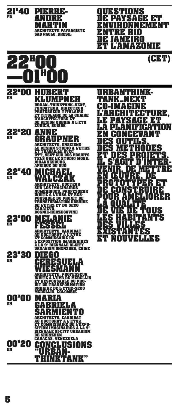

**PIERRE- ANDRÉ** 

**MARTIN**

**ARCHITECTE PAYSAGISTE SAO PAULO, BRÉSIL** 



**22H 20 EN**

**22H 40**

**EN**

**22H 00**

**EN**

**ANNE GRAUPNER**<br>ARCHITECTE, ENSEIGNE **LE DESIGN STUDIO À L'ETHZ ET TRAVAILLE AVEC UTT\_NEXT SUR DES PROJETS**

**TELS QUE LE STUDIO MOBIL JOHANNESBURG, AFRIQUE DU SUD**

**MICHAEL WALCZAK ARCHITECTE, DOCTEUR**  SUR LES IMAGINAIRES<br>NUMÉRIQUES, PROFESSEUR<br>INVITÉ À L'UNSA ET RES<u>-</u> **PONSABLE DU PROJET DE TRANSFORMATION URBAINE DE L'ETHZ ET DU SECO SARAJEVO, BOSNIE-HERZÉGOVINE**

**23H 00 EN**

## **MELANIE FESSEL ARCHITECTE, CANDIDAT AU DOCTORAT À L'ETHZ**

**ET COMMISSAIRE DE L'EXPOSITION IMAGINAIRES À LA 9E BIENNALE BI-CITY URBANISM SHENZHEN, CHINE**

**23H 30 EN**

**DIEGO RESUELA<br>ESMANN WIESMANN ARCHITECTE, PROFESSEUR INVITÉ À L'UPB DE MEDELLIN ET RESPONSABLE DU PRO-JET DE TRANSFORMATION URBAINE DE L'ETHZ-SECO MEDELLÍN, COLOMBIE**

**00H 00 EN**

**00H 20**

**EN**

## **MARIA GABRIELA SARMIENTO**<br>ARCHITECTE, CANDIDAT **ARCHITECTE, CANDIDAT AU DOCTORAT À L'ETHZ, ET COMMISSAIRE DE L'EXPO-SITION IMAGINAIRES À LA 9E BIENNALE BI-CITY URBANISM**

**DE SHENZHEN CARACAS, VENEZUELA CONCLUSIONS**

**"URBAN- THINKTANK"**

**URBANTHINK- TANK\_NEXT CO-IMAGINE**  ECTURE, **LE PAYSAGE ET LA PLANIFICATION EN CONCEVANT**  DES OUTILS,<br><u>DES METHODES</u> **ET DES PROJETS. IL S'AGIT D'INTER-VENIR, DE METTRE EN ŒUVRE, DE PROTOTYPER ET**  DE CONSTRUIRE<br>POUR AMÉLIORER<br>LA QUALITÉ E VIE DE TOUS<br>ES HABITANTS **LES HABITANTS DES VILLES EXISTANTES<br>ET NOUVELL ET LES** 

**QUESTIONS** 

**ENTRE RIO DE JANEIRO** 

**DE PAYSAGE ET** 

ET LYAM*RYA*DNIE

**ONNEMENT** 

**5**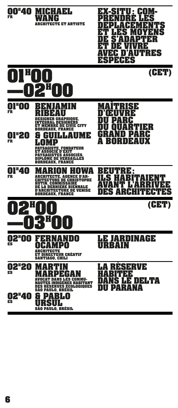

|               | <b>SANTIAGO, CHILI</b>                                                                                                           |
|---------------|----------------------------------------------------------------------------------------------------------------------------------|
| 02"20 M<br>ES | ARTI<br>ARPEGAN                                                                                                                  |
|               | <b>AVOCAT DANS LES COMMU-</b><br><b>NAUTES INDIGENES HABITANT</b><br><b>DES RESERVES ÉCOLOGIQUES</b><br><b>SÃO PAULO, BRÉSIL</b> |
| <b>02"40</b>  | PABLO<br>81                                                                                                                      |
| ES            | SUI<br>1:E                                                                                                                       |

**SÃO PAULO, BRÉSIL** 

**LA RÉSERVE HABITÉE**  DANS LE DELTA<br>DU PARANA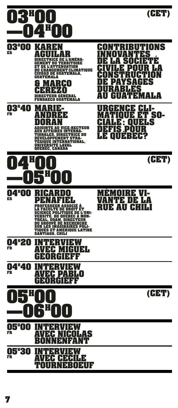|                                 | ÷                                                                                                                                                                                                                                                                                              | (CET)                                                                                                                                                                                                                                                                    |
|---------------------------------|------------------------------------------------------------------------------------------------------------------------------------------------------------------------------------------------------------------------------------------------------------------------------------------------|--------------------------------------------------------------------------------------------------------------------------------------------------------------------------------------------------------------------------------------------------------------------------|
| 03"0)<br>$\blacksquare$<br>ES   | N<br>G<br>U.<br>т<br>E<br>шэ<br><b>DE L'ATTENUATION</b><br>ET<br><b>DU CHANGEMENT CLIMATIQUE</b><br><b>CIUDAD DE GUATEMALA,<br/>GUATEMALA</b><br>RCI<br>$\ddot{\phantom{a}}$<br>Ţ<br>H<br>RECTEUR GENÉRAL<br><b>GUATEMALA</b><br>CO                                                            | BUTIONS<br>÷<br>Π<br>Л<br>l<br>÷<br>Þ<br>$\mathbf l$<br>Þ<br>$\blacklozenge$<br>÷<br>Ř<br>$\mathbf{A}$<br>$\begin{array}{c} \hline \end{array}$<br>124<br>N<br>H*1<br>51<br>$\overline{1}$<br>В<br>H<br>E<br>؛<br>Л<br>! V U<br>同<br>MALA<br>$\mathsf{H}$<br>U<br>Ŧ<br>U |
| <b>03"40</b><br><b>FR</b>       | H<br>U VICE-RECTEUR<br><b>X AFFAIRES IN</b><br>ERNA-<br>ONALES, D<br><i>IRECTRI</i><br>E DU<br>D<br>EVELOPPEME<br>NT STRA-<br>ËGIQUE INTERNATIONAL,<br>NIVERSITE LAVAL<br>T<br>U<br><b>QUEBEC, CANADA</b>                                                                                      | R<br>H<br>킈<br>E<br>Н<br>l w<br>判<br>SO-<br>Ε<br>75<br>Η<br>l<br>U<br>눠<br>N<br>5<br>Ц<br>$\boldsymbol{\theta}$<br>J<br>ᅱ<br>EBEK<br>6 E I<br>$\vert \vert$<br>$\mathsf{U}$                                                                                              |
|                                 |                                                                                                                                                                                                                                                                                                | (CET)                                                                                                                                                                                                                                                                    |
| 04 <b>"00</b><br>ES             | 3<br>8<br>DJO<br>Н<br>A<br>н<br>FESSEUR ASSOCIÉ À<br>ET<br>LTE D<br>SCIENCE POLITIQUE DE<br><u>VERS</u> ITÉ, <u>DU QUÉBEC À</u><br>E L'UNI-<br>MON-<br>REAL, UQAM.<br>Т<br>DU GROUPE DE R<br>HUE<br>SUR LES IMAGINAIRES POLI-<br><b>QUES ET AMERIQUE LATINE</b><br>T<br><b>SANTIAGO, CHILI</b> | R<br>Σ<br>I<br>▐▅<br>E<br>68<br>H<br>$\begin{array}{c} \hline \end{array}$<br>UE A<br>H<br>Ы<br>H<br>$\mathbf 0$                                                                                                                                                         |
| <b>04"20</b><br><b>FR</b>       | H<br>늰<br>H<br>IGUEL.<br>Ħ<br>H<br>AVI<br>мU<br>GIERE<br>HE<br>$\blacksquare$<br>R                                                                                                                                                                                                             |                                                                                                                                                                                                                                                                          |
| <b>04"40</b><br><b>FR</b>       | 爿<br>h<br>Η<br>BLO<br>H<br>IJ<br>И<br>Ŧ<br>Н<br>$\frac{1}{\tau}$<br>GEORGIEFF                                                                                                                                                                                                                  |                                                                                                                                                                                                                                                                          |
|                                 | i<br>Π                                                                                                                                                                                                                                                                                         | (CET)                                                                                                                                                                                                                                                                    |
| 05"OO<br><b>FR</b>              | Ħ<br>Η<br><b>AVEC NICOLAS<br/>BONNENFANT</b>                                                                                                                                                                                                                                                   |                                                                                                                                                                                                                                                                          |
| <b>05"30 INTEI</b><br><b>FR</b> | RVIEW<br><b>AVEC CECILE<br/>TOURNEBOEUF</b>                                                                                                                                                                                                                                                    |                                                                                                                                                                                                                                                                          |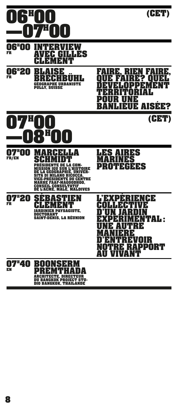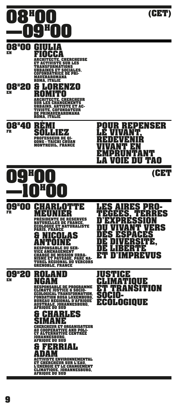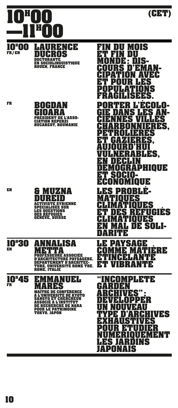

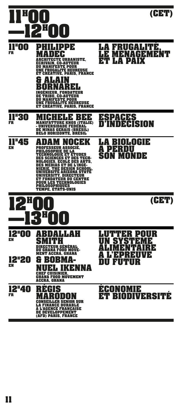|                                          | ÷<br>٥                                                                                                                                                                                                                                                                                                                                                                                                                                     | (CET)                                                                                                                             |
|------------------------------------------|--------------------------------------------------------------------------------------------------------------------------------------------------------------------------------------------------------------------------------------------------------------------------------------------------------------------------------------------------------------------------------------------------------------------------------------------|-----------------------------------------------------------------------------------------------------------------------------------|
| <b>FOO</b><br><b>FR</b>                  | צנפו<br><b>ل</b> ا<br>ı<br>E<br><b>TECTE URBANISTE,</b><br>ÉCRIVAIN, CO-AUTEUR<br><b>DU MANIFESTE POUR</b><br><b>UNE FRUGALITÉ HEUREUSE</b><br>ET CRÉATIVE, PARIS, FRANCE<br>Ħ<br>$\frac{1}{2}$<br>i,<br><b>INGENIEUR, FONDATEUR</b><br><b>DE TRIBU, CO-AUTEUR</b><br><b>DU MANIFESTE POUR<br/>UNE FRUGALITÉ HEUREUSE</b><br>ET CREATIVE, PARIS, FRANCE                                                                                    | RUGALITE<br>E<br>68<br>E<br>E<br>NAGEI<br>M<br>月<br>LП)<br>IX<br>ET<br>DAJ<br>LA 1                                                |
| <b>II"30</b><br><b>FR</b>                | Þ<br>;<br>Ξ<br><b>MANIFATTURE KNOS (ITALIE)</b><br>- UNIVERSIDADE FEDERAL<br><u>DE MINAS GERAIS</u> (BRESIL)<br><b>BELO HORIZONTE, BRESIL</b>                                                                                                                                                                                                                                                                                              | ESPACES<br>INDECISION<br><b>n'i</b>                                                                                               |
| l"45<br>EN                               | ЕK<br>H<br>$\mathbf l$<br><b>PROFESSEUR ASSOCIE,</b><br>ILOSOPHIE DE LA<br>PH<br><b>OLOGIE ET ÉTUDES</b><br>TEGHN<br><b>DES SCIENCES ET DES TECH-</b><br><b>NOLOGIES, ECOLE DES ARTS,</b><br><b>DES MÉDIAS ET DE L'INGÉ-</b><br><b>NIERIE. THE DESIGN SCHOOL</b><br><b>UNIVERSITE ARIZONA STATE</b><br>RSITY NI<br>RECTEUR<br><b>ET FONDATEUR DU CENTRE</b><br><b>POUR LES TECHNOLOGIES</b><br><b>PHILOSOPHIQUES<br/>TEMPE, ETATS-UNIS</b> | 3 (1) FOGUE<br>6A<br>A PEI<br>3<br>DU<br>SON MONDE                                                                                |
|                                          |                                                                                                                                                                                                                                                                                                                                                                                                                                            | (CET)                                                                                                                             |
| <b>12ª00</b><br>EN<br><b>12"20</b><br>EN | ALLAH<br>3<br>RECTEUR GÉNÉRAL<br>GHANA FOOD MOVE-<br>D<br><b>MENT ACCRA, GHANA</b><br>Н<br>13<br>Ħ<br>A<br>耳<br>NA<br><b>CHEF CUISINIER,<br/>GHANA FOOD MOVEMENT</b><br><b>ACCRA, GHANA</b>                                                                                                                                                                                                                                                | K<br>UR<br>늰<br>IJ<br>$\mathbf{I}$<br>늰<br>Þ<br>Þ<br>Б.<br>E<br>E<br>$\overline{\phantom{a}}$<br>÷<br>뇌<br>EN 1980 I<br>R<br>1111 |
| <b>12ª40</b><br>FR                       | H<br>S<br>SUR<br>INANCE DURABLE<br>L A<br><b>A L'AGENCE FRANÇAISE</b><br><b>DE DÉVELOPPEMENT</b><br>(AFD) PARIS, FRANCE                                                                                                                                                                                                                                                                                                                    | NOMUE<br>ĦН<br>$\begin{array}{c} \hline \end{array}$<br>BIODIVERSI<br>ET I                                                        |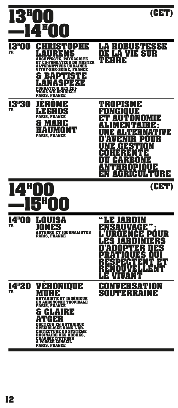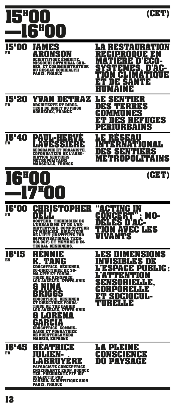

**DU RÉSEAU ECOHEALTH<br>PARIS, FRANCE** 

PAUL-HERVE<br>LAVESSIÈRE

**GÉOGRAPHE ET URBANISTE, COFONDATEUR DE L'ASSO-**

**CIATION SENTIERS MÉTROPOLITAINS MARSEILLE, FRANCE** LA RESTAURATION<br>RECIPROQUE EN<br>MATIÈRE D'ÉCO-<br>SYSTÈMES, D'AC-<br>TION CLIMATIQUE<br>ET DE <u>SA</u>NTÉ **HUMAINE**



**15H 40**

**16H**

**FR**

**EN**

**LE SENTIER DES TERRES COMMUNES**  ET DES REFUGES<br>PERIURBAINS

**LE RÉSEAU**  NATIONAL<br>ENTIERS **DES SENTIERS MÉTROPOLITAINS**



## **—17H 00 16H 00 FR CHRISTOPHER DELL DOCTEUR, THÉORICIEN DE L'URBANISME ET DE L'AR-CHITECTURE, COMPOSITEUR ET MUSICIEN, DIRECTEUR DE L'IFIT (INSTITUTE FOR**

**IMPROVISATIONAL TECH-NOLOGY) ET MEMBRE D'IN-TEGRAL DESIGNERS.**

**16H 15 RÉNNIE K. TANG ÉDUCATRICE, DESIGNER, CO-DIRECTRICE DE SO-MA-CITY ET FONDA-LOS ANGELES, ÉTATS-UNIS** 

**& NINA BRIGGS ÉDUCATRICE, DESIGNER ET DIRECTRICE FONDA-TRICE DE THE FABRIC LOS ANGELES, ÉTATS-UNIS**

**& LORENA GARCÍA EDUCATRICE, COMMIS-SAIRE ET FONDATRICE DE PUENTEALAMEDA MADRID, ESPAGNE**

**16H 45 FR BÉATRICE JULIEN- LABRUYÈRE PAYSAGISTE CONCEPTRICE, ENSEIGNANTE ENSP, AGENCE TER, PRÉSIDENTE FFP IDF COLLECTIF PAP CONSEIL SCIENTIFIQUE SION PARIS, FRANCE**

**"ACTING IN CONCERT": MO- DÈLES D'AC- TION AVEC LES VIVANTS**

E<mark>S DIMENSION</mark>S<br>IVISIRLES DE **INVISIBLES DE L'ESPACE PUBLIC: L'ATTENTION SENSORIELLE, CORPORELLE ET SOCIOCUL- TURELLE**

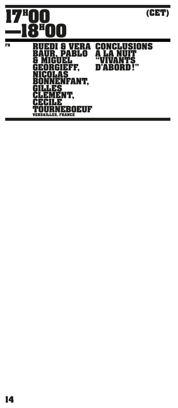